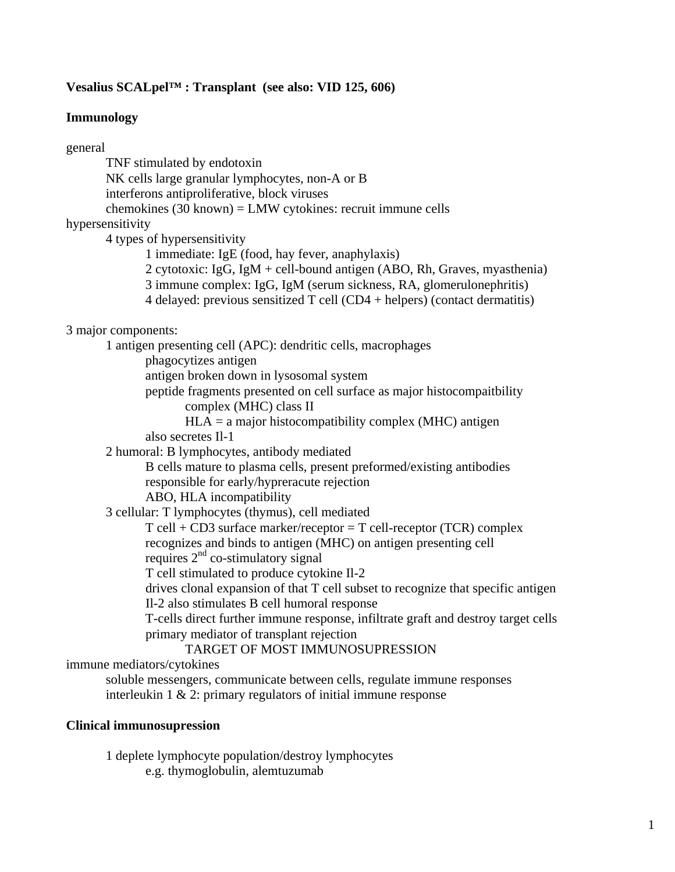## **Vesalius SCALpel™ : Transplant (see also: VID 125, 606)**

### **Immunology**

general TNF stimulated by endotoxin NK cells large granular lymphocytes, non-A or B interferons antiproliferative, block viruses chemokines (30 known) = LMW cytokines: recruit immune cells hypersensitivity 4 types of hypersensitivity 1 immediate: IgE (food, hay fever, anaphylaxis) 2 cytotoxic: IgG, IgM + cell-bound antigen (ABO, Rh, Graves, myasthenia) 3 immune complex: IgG, IgM (serum sickness, RA, glomerulonephritis) 4 delayed: previous sensitized T cell (CD4 + helpers) (contact dermatitis) 3 major components: 1 antigen presenting cell (APC): dendritic cells, macrophages phagocytizes antigen antigen broken down in lysosomal system peptide fragments presented on cell surface as major histocompaitbility complex (MHC) class II  $HLA = a$  major histocompatibility complex (MHC) antigen also secretes Il-1 2 humoral: B lymphocytes, antibody mediated B cells mature to plasma cells, present preformed/existing antibodies responsible for early/hypreracute rejection ABO, HLA incompatibility 3 cellular: T lymphocytes (thymus), cell mediated  $T$  cell + CD3 surface marker/receptor = T cell-receptor (TCR) complex recognizes and binds to antigen (MHC) on antigen presenting cell requires  $2<sup>nd</sup>$  co-stimulatory signal T cell stimulated to produce cytokine Il-2 drives clonal expansion of that T cell subset to recognize that specific antigen Il-2 also stimulates B cell humoral response T-cells direct further immune response, infiltrate graft and destroy target cells primary mediator of transplant rejection TARGET OF MOST IMMUNOSUPRESSION immune mediators/cytokines soluble messengers, communicate between cells, regulate immune responses interleukin 1 & 2: primary regulators of initial immune response

## **Clinical immunosupression**

 1 deplete lymphocyte population/destroy lymphocytes e.g. thymoglobulin, alemtuzumab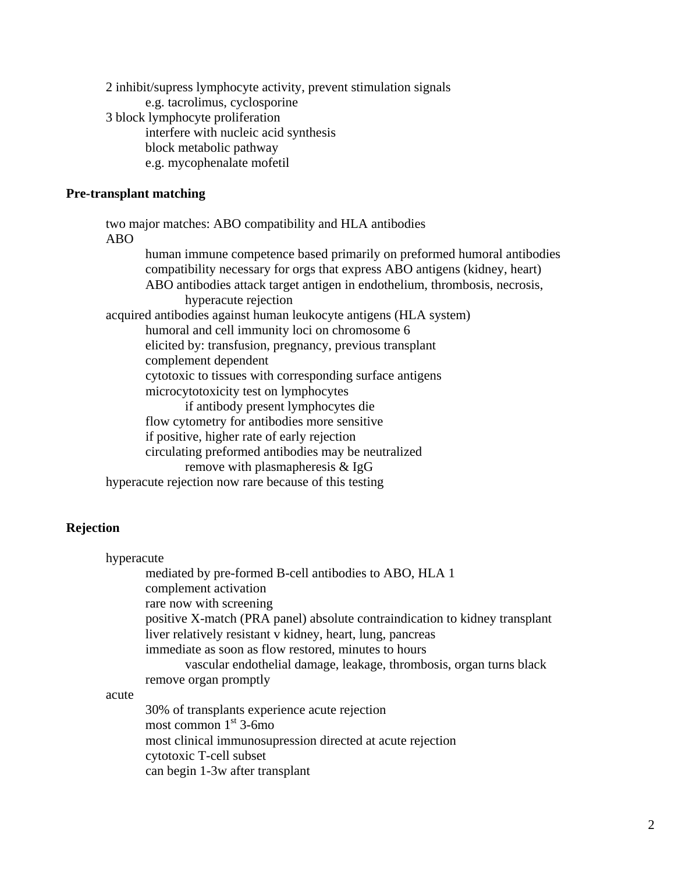2 inhibit/supress lymphocyte activity, prevent stimulation signals e.g. tacrolimus, cyclosporine 3 block lymphocyte proliferation interfere with nucleic acid synthesis block metabolic pathway e.g. mycophenalate mofetil

### **Pre-transplant matching**

 two major matches: ABO compatibility and HLA antibodies ABO human immune competence based primarily on preformed humoral antibodies compatibility necessary for orgs that express ABO antigens (kidney, heart) ABO antibodies attack target antigen in endothelium, thrombosis, necrosis, hyperacute rejection acquired antibodies against human leukocyte antigens (HLA system) humoral and cell immunity loci on chromosome 6 elicited by: transfusion, pregnancy, previous transplant complement dependent cytotoxic to tissues with corresponding surface antigens microcytotoxicity test on lymphocytes if antibody present lymphocytes die flow cytometry for antibodies more sensitive if positive, higher rate of early rejection circulating preformed antibodies may be neutralized remove with plasmapheresis & IgG hyperacute rejection now rare because of this testing

### **Rejection**

 hyperacute mediated by pre-formed B-cell antibodies to ABO, HLA 1 complement activation rare now with screening positive X-match (PRA panel) absolute contraindication to kidney transplant liver relatively resistant v kidney, heart, lung, pancreas immediate as soon as flow restored, minutes to hours vascular endothelial damage, leakage, thrombosis, organ turns black remove organ promptly acute 30% of transplants experience acute rejection most common  $1<sup>st</sup>$  3-6mo most clinical immunosupression directed at acute rejection cytotoxic T-cell subset

can begin 1-3w after transplant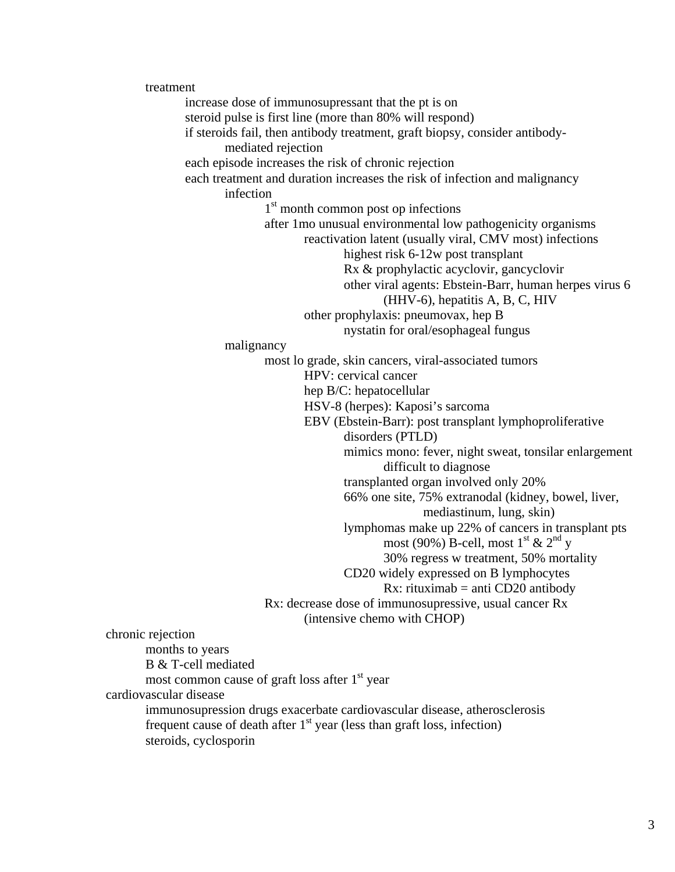treatment increase dose of immunosupressant that the pt is on steroid pulse is first line (more than 80% will respond) if steroids fail, then antibody treatment, graft biopsy, consider antibody mediated rejection each episode increases the risk of chronic rejection each treatment and duration increases the risk of infection and malignancy infection 1<sup>st</sup> month common post op infections after 1mo unusual environmental low pathogenicity organisms reactivation latent (usually viral, CMV most) infections highest risk 6-12w post transplant Rx & prophylactic acyclovir, gancyclovir other viral agents: Ebstein-Barr, human herpes virus 6 (HHV-6), hepatitis A, B, C, HIV other prophylaxis: pneumovax, hep B nystatin for oral/esophageal fungus malignancy most lo grade, skin cancers, viral-associated tumors HPV: cervical cancer hep B/C: hepatocellular HSV-8 (herpes): Kaposi's sarcoma EBV (Ebstein-Barr): post transplant lymphoproliferative disorders (PTLD) mimics mono: fever, night sweat, tonsilar enlargement difficult to diagnose transplanted organ involved only 20% 66% one site, 75% extranodal (kidney, bowel, liver, mediastinum, lung, skin) lymphomas make up 22% of cancers in transplant pts  $\frac{1}{\text{most } (90\%) \text{ B-cell, most } 1^{\text{st}} \& 2^{\text{nd}} \text{ y}}$  30% regress w treatment, 50% mortality CD20 widely expressed on B lymphocytes Rx: rituximab = anti  $CD20$  antibody Rx: decrease dose of immunosupressive, usual cancer Rx (intensive chemo with CHOP) chronic rejection months to years B & T-cell mediated most common cause of graft loss after  $1<sup>st</sup>$  year cardiovascular disease immunosupression drugs exacerbate cardiovascular disease, atherosclerosis frequent cause of death after  $1<sup>st</sup>$  year (less than graft loss, infection) steroids, cyclosporin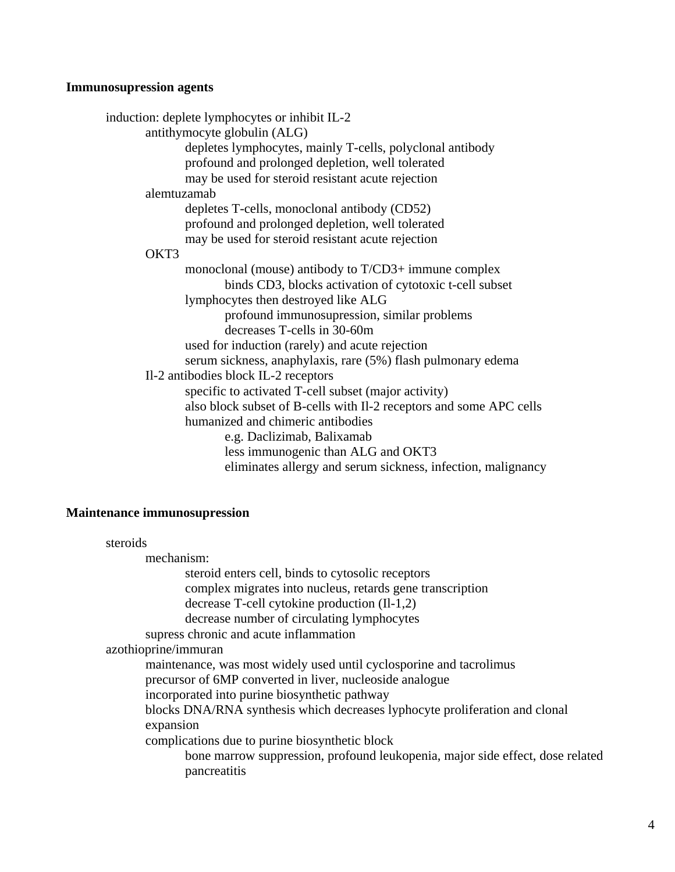# **Immunosupression agents**

| induction: deplete lymphocytes or inhibit IL-2                      |
|---------------------------------------------------------------------|
| antithymocyte globulin (ALG)                                        |
| depletes lymphocytes, mainly T-cells, polyclonal antibody           |
| profound and prolonged depletion, well tolerated                    |
| may be used for steroid resistant acute rejection                   |
| alemtuzamab                                                         |
| depletes T-cells, monoclonal antibody (CD52)                        |
| profound and prolonged depletion, well tolerated                    |
| may be used for steroid resistant acute rejection                   |
| OKT3                                                                |
| monoclonal (mouse) antibody to $T/CD3$ + immune complex             |
| binds CD3, blocks activation of cytotoxic t-cell subset             |
| lymphocytes then destroyed like ALG                                 |
| profound immunosupression, similar problems                         |
| decreases T-cells in 30-60m                                         |
| used for induction (rarely) and acute rejection                     |
| serum sickness, anaphylaxis, rare (5%) flash pulmonary edema        |
| Il-2 antibodies block IL-2 receptors                                |
| specific to activated T-cell subset (major activity)                |
| also block subset of B-cells with Il-2 receptors and some APC cells |
| humanized and chimeric antibodies                                   |
| e.g. Daclizimab, Balixamab                                          |
| less immunogenic than ALG and OKT3                                  |
| eliminates allergy and serum sickness, infection, malignancy        |

# **Maintenance immunosupression**

| steroids                                                                                      |
|-----------------------------------------------------------------------------------------------|
| mechanism:                                                                                    |
| steroid enters cell, binds to cytosolic receptors                                             |
| complex migrates into nucleus, retards gene transcription                                     |
| decrease T-cell cytokine production $(II-1,2)$                                                |
| decrease number of circulating lymphocytes                                                    |
| supress chronic and acute inflammation                                                        |
| azothioprine/immuran                                                                          |
| maintenance, was most widely used until cyclosporine and tacrolimus                           |
| precursor of 6MP converted in liver, nucleoside analogue                                      |
| incorporated into purine biosynthetic pathway                                                 |
| blocks DNA/RNA synthesis which decreases lyphocyte proliferation and clonal                   |
| expansion                                                                                     |
| complications due to purine biosynthetic block                                                |
| bone marrow suppression, profound leukopenia, major side effect, dose related<br>pancreatitis |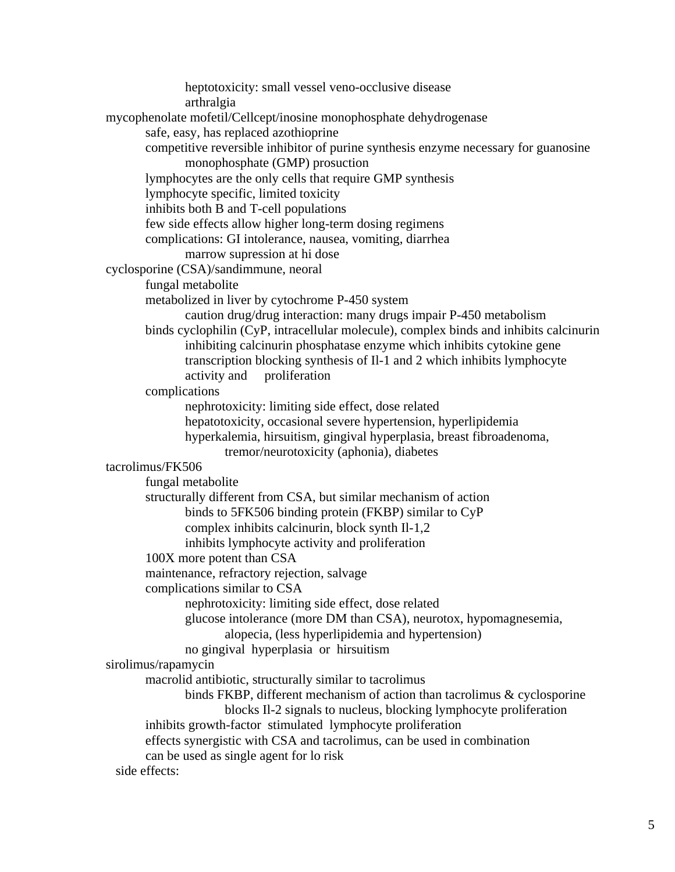heptotoxicity: small vessel veno-occlusive disease arthralgia mycophenolate mofetil/Cellcept/inosine monophosphate dehydrogenase safe, easy, has replaced azothioprine competitive reversible inhibitor of purine synthesis enzyme necessary for guanosine monophosphate (GMP) prosuction lymphocytes are the only cells that require GMP synthesis lymphocyte specific, limited toxicity inhibits both B and T-cell populations few side effects allow higher long-term dosing regimens complications: GI intolerance, nausea, vomiting, diarrhea marrow supression at hi dose cyclosporine (CSA)/sandimmune, neoral fungal metabolite metabolized in liver by cytochrome P-450 system caution drug/drug interaction: many drugs impair P-450 metabolism binds cyclophilin (CyP, intracellular molecule), complex binds and inhibits calcinurin inhibiting calcinurin phosphatase enzyme which inhibits cytokine gene transcription blocking synthesis of Il-1 and 2 which inhibits lymphocyte activity and proliferation complications nephrotoxicity: limiting side effect, dose related hepatotoxicity, occasional severe hypertension, hyperlipidemia hyperkalemia, hirsuitism, gingival hyperplasia, breast fibroadenoma, tremor/neurotoxicity (aphonia), diabetes tacrolimus/FK506 fungal metabolite structurally different from CSA, but similar mechanism of action binds to 5FK506 binding protein (FKBP) similar to CyP complex inhibits calcinurin, block synth Il-1,2 inhibits lymphocyte activity and proliferation 100X more potent than CSA maintenance, refractory rejection, salvage complications similar to CSA nephrotoxicity: limiting side effect, dose related glucose intolerance (more DM than CSA), neurotox, hypomagnesemia, alopecia, (less hyperlipidemia and hypertension) no gingival hyperplasia or hirsuitism sirolimus/rapamycin macrolid antibiotic, structurally similar to tacrolimus binds FKBP, different mechanism of action than tacrolimus & cyclosporine blocks Il-2 signals to nucleus, blocking lymphocyte proliferation inhibits growth-factor stimulated lymphocyte proliferation effects synergistic with CSA and tacrolimus, can be used in combination can be used as single agent for lo risk side effects: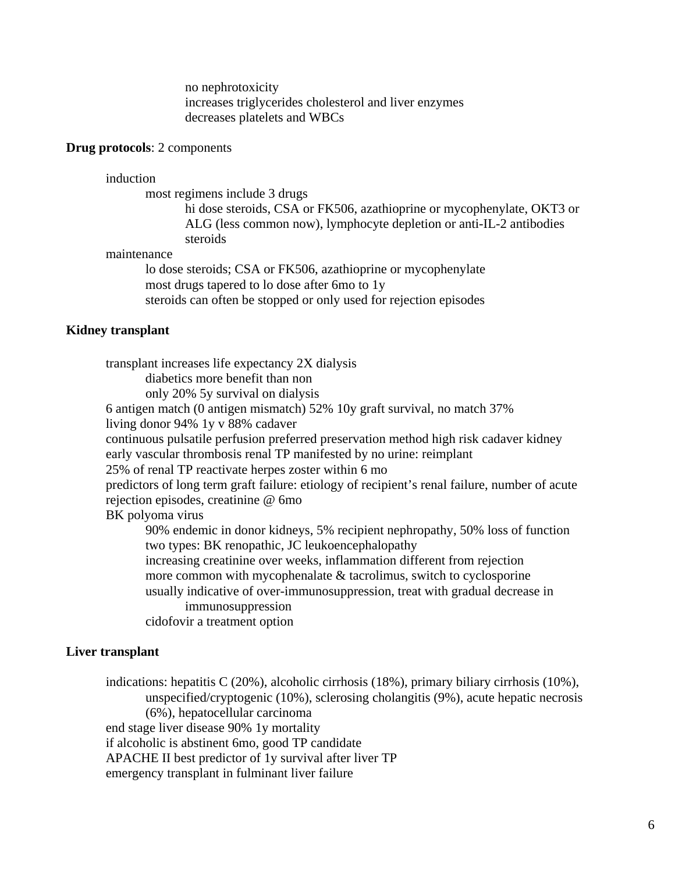no nephrotoxicity increases triglycerides cholesterol and liver enzymes decreases platelets and WBCs

#### **Drug protocols**: 2 components

induction

most regimens include 3 drugs

 hi dose steroids, CSA or FK506, azathioprine or mycophenylate, OKT3 or ALG (less common now), lymphocyte depletion or anti-IL-2 antibodies steroids

### maintenance

 lo dose steroids; CSA or FK506, azathioprine or mycophenylate most drugs tapered to lo dose after 6mo to 1y steroids can often be stopped or only used for rejection episodes

### **Kidney transplant**

 transplant increases life expectancy 2X dialysis diabetics more benefit than non only 20% 5y survival on dialysis 6 antigen match (0 antigen mismatch) 52% 10y graft survival, no match 37% living donor 94% 1y v 88% cadaver continuous pulsatile perfusion preferred preservation method high risk cadaver kidney early vascular thrombosis renal TP manifested by no urine: reimplant 25% of renal TP reactivate herpes zoster within 6 mo predictors of long term graft failure: etiology of recipient's renal failure, number of acute rejection episodes, creatinine @ 6mo BK polyoma virus 90% endemic in donor kidneys, 5% recipient nephropathy, 50% loss of function two types: BK renopathic, JC leukoencephalopathy increasing creatinine over weeks, inflammation different from rejection more common with mycophenalate & tacrolimus, switch to cyclosporine usually indicative of over-immunosuppression, treat with gradual decrease in immunosuppression cidofovir a treatment option

## **Liver transplant**

 indications: hepatitis C (20%), alcoholic cirrhosis (18%), primary biliary cirrhosis (10%), unspecified/cryptogenic (10%), sclerosing cholangitis (9%), acute hepatic necrosis (6%), hepatocellular carcinoma end stage liver disease 90% 1y mortality if alcoholic is abstinent 6mo, good TP candidate APACHE II best predictor of 1y survival after liver TP emergency transplant in fulminant liver failure